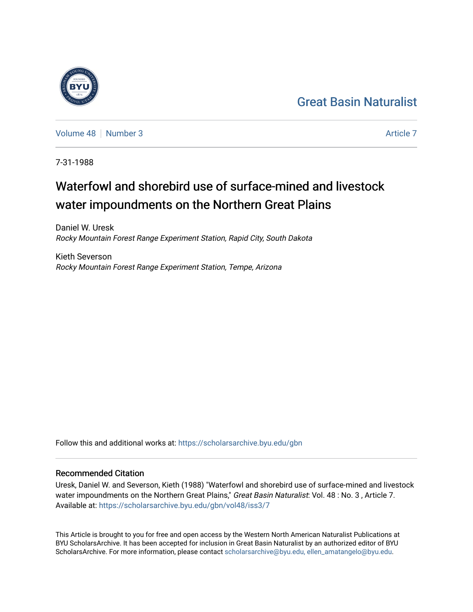## [Great Basin Naturalist](https://scholarsarchive.byu.edu/gbn)

[Volume 48](https://scholarsarchive.byu.edu/gbn/vol48) [Number 3](https://scholarsarchive.byu.edu/gbn/vol48/iss3) [Article 7](https://scholarsarchive.byu.edu/gbn/vol48/iss3/7) Article 7 Article 7 Article 7 Article 7 Article 7 Article 7

7-31-1988

# Waterfowl and shorebird use of surface-mined and livestock water impoundments on the Northern Great Plains

Daniel W. Uresk Rocky Mountain Forest Range Experiment Station, Rapid City, South Dakota

Kieth Severson Rocky Mountain Forest Range Experiment Station, Tempe, Arizona

Follow this and additional works at: [https://scholarsarchive.byu.edu/gbn](https://scholarsarchive.byu.edu/gbn?utm_source=scholarsarchive.byu.edu%2Fgbn%2Fvol48%2Fiss3%2F7&utm_medium=PDF&utm_campaign=PDFCoverPages) 

## Recommended Citation

Uresk, Daniel W. and Severson, Kieth (1988) "Waterfowl and shorebird use of surface-mined and livestock water impoundments on the Northern Great Plains," Great Basin Naturalist: Vol. 48 : No. 3, Article 7. Available at: [https://scholarsarchive.byu.edu/gbn/vol48/iss3/7](https://scholarsarchive.byu.edu/gbn/vol48/iss3/7?utm_source=scholarsarchive.byu.edu%2Fgbn%2Fvol48%2Fiss3%2F7&utm_medium=PDF&utm_campaign=PDFCoverPages)

This Article is brought to you for free and open access by the Western North American Naturalist Publications at BYU ScholarsArchive. It has been accepted for inclusion in Great Basin Naturalist by an authorized editor of BYU ScholarsArchive. For more information, please contact [scholarsarchive@byu.edu, ellen\\_amatangelo@byu.edu.](mailto:scholarsarchive@byu.edu,%20ellen_amatangelo@byu.edu)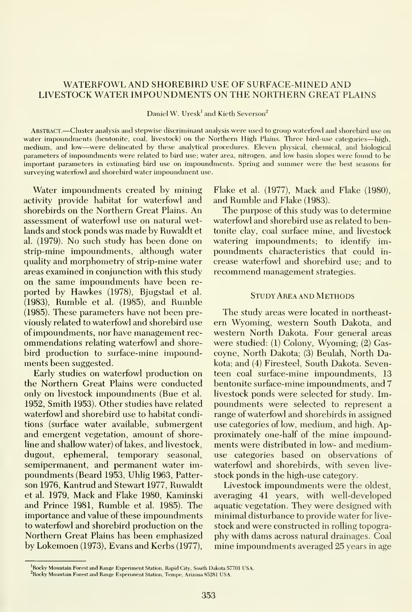### WATERFOWL AND SHOREBIRD USE OF SURFACE-MINED AND LIVESTOCK WATER IMPOUNDMENTS ON THE NORTHERN GREAT PLAINS

Daniel W. Uresk<sup>1</sup> and Kieth Severson<sup>2</sup>

Abstract —Cluster analysis and stepwise discriminant analysis were used to group waterfowl and shorebird use on water impoundments (bentonite, coal, livestock) on the Northern High Plains. Three bird-use categories—high, medium, and low—were delineated by these analytical procedures. Eleven physical, chemical, and biological parameters of impoundments were related to bird use; water area, nitrogen, and low basin slopes were found to be important parameters in estimating bird use on impoundments. Spring and summer were the best seasons for surveying waterfowl and shorebird water impoundment use.

Water impoundments created by mining activity provide habitat for waterfowl and shorebirds on the Northern Great Plains. An assessment of waterfowl use on natural wetlands and stock ponds was made by Ruwaldt et al. (1979). No such study has been done on strip-mine impoundments, although water quality and morphometry of strip-mine water areas examined in conjunction with this study on the same impoundments have been re ported by Hawkes (1978), Bjugstad et al. (1983), Rumble et al. (1985), and Rumble (1985). These parameters have not been previously related to waterfowl and shorebird use of impoundments, nor have management rec ommendations relating waterfowl and shorebird production to surface-mine impoundments been suggested.

Early studies on waterfowl production on the Northern Great Plains were conducted only on livestock impoundments (Bue et al. 1952, Smith 1953). Other studies have related waterfowl and shorebird use to habitat conditions (surface water available, submergent and emergent vegetation, amount of shoreline and shallow water) of lakes, and livestock, dugout, ephemeral, temporary seasonal, semipermanent, and permanent water impoundments (Beard 1953, Uhlig 1963, Patter son 1976, Kantrud and Stewart 1977, Ruwaldt et al. 1979, Mack and Flake 1980, Kaminski and Prince 1981, Rumble et al. 1985). The importance and value of these impoundments to waterfowl and shorebird production on the Northern Great Plains has been emphasized by Lokemoen (1973), Evans and Kerbs (1977),

Flake et al. (1977), Mack and Flake (1980), and Rumble and Flake (1983).

The purpose of this study was to determine waterfowl and shorebird use as related to bentonite clay, coal surface mine, and livestock watering impoundments; to identify impoundments characteristics that could in crease waterfowl and shorebird use; and to recommend management strategies.

#### Study Area AND Methods

The study areas were located in northeast ern Wyoming, western South Dakota, and western North Dakota. Four general areas were studied: (1) Colony, Wyoming; (2) Gascoyne. North Dakota; (3) Beulah, North Dakota; and (4) Firesteel, South Dakota. Seventeen coal surface-mine impoundments, 13 bentonite surface-mine impoundments, and 7 livestock ponds were selected for study. Impoundments were selected to represent a range of waterfowl and shorebirds in assigned use categories of low, medium, and high. Approximately one-half of the mine impoundments were distributed in low- and mediumuse categories based on observations of waterfowl and shorebirds, with seven live stock ponds in the high-use category.

Livestock impoundments were the oldest, averaging 41 years, with well-developed aquatic vegetation. They were designed with minimal disturbance to provide water for live stock and were constructed in rolling topography with dams across natural drainages. Coal mine impoundments averaged 25 years in age

<sup>&#</sup>x27;Rocky Mountain Forest and Range Experiment Station, Rapid City, South Dakota 57701 USA.

Rocky Mountain Forest and Range Experiment Station, Tempe, Arizona 85281 USA.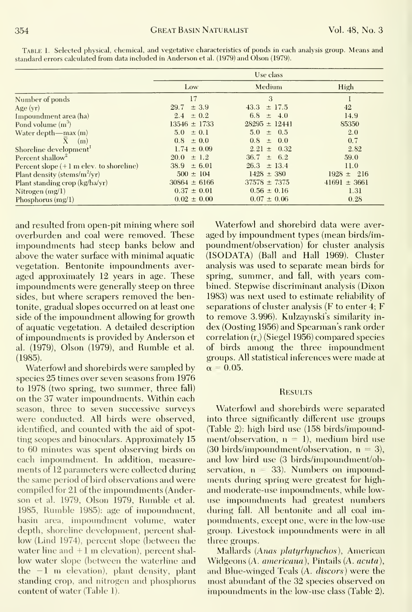|                                                   | Use class        |                    |                  |  |  |
|---------------------------------------------------|------------------|--------------------|------------------|--|--|
|                                                   | Low              | Medium             | High             |  |  |
| Number of ponds                                   | 17               | 3                  |                  |  |  |
| Age $(yr)$                                        | $29.7 \pm 3.9$   | $\pm$ 17.5<br>43.3 | 42               |  |  |
| Impoundment area (ha)                             | $2.4 \pm 0.2$    | 6.8 $\pm$ 4.0      | 14.9             |  |  |
| Pond volume $(m^3)$                               | $13546 \pm 1733$ | $28295 \pm 12441$  | 85350            |  |  |
| Water depth—max $(m)$                             | $5.0 \pm 0.1$    | $5.0 \pm 0.5$      | 2.0              |  |  |
| $\mathbf{X}$<br>(m)                               | $0.8 \pm 0.0$    | $0.8 \pm 0.0$      | 0.7              |  |  |
| Shoreline development <sup>1</sup>                | $1.74 \pm 0.09$  | $2.21 \pm 0.32$    | 2.82             |  |  |
| Percent shallow <sup>2</sup>                      | $20.0 \pm 1.2$   | $36.7 \pm 6.2$     | 59.0             |  |  |
| Percent slope $(+1 \text{ m}$ elev. to shoreline) | $38.9 \pm 6.01$  | $26.3 \pm 13.4$    | 11.0             |  |  |
| Plant density (stems/m <sup>2</sup> /yr)          | $500 \pm 104$    | $1428 \pm 380$     | $1928 \pm 216$   |  |  |
| Plant standing crop (kg/ha/yr)                    | $30864 \pm 6166$ | $37578 \pm 7375$   | $41691 \pm 3661$ |  |  |
| Nitrogen $(mg/1)$                                 | $0.37 \pm 0.01$  | $0.56 \pm 0.16$    | 1.31             |  |  |
| Phosphorus $(mg/I)$                               | $0.02 \pm 0.00$  | $0.07 \pm 0.06$    | 0.28             |  |  |

Table 1.Selected physical, chemical, and vegetative characteristics of ponds in each analysis group. Means and standard errors calculated from data included in Anderson et al. (1979) and Olson (1979).

and resulted from open-pit mining where soil overburden and coal were removed. These impoundments had steep banks below and above the water surface with minimal aquatic vegetation. Bentonite impoundments averaged approximately 12 years in age. These impoundments were generally steep on three sides, but where scrapers removed the bentonite, gradual slopes occurred on at least one side of the impoundment allowing for growth of aquatic vegetation. A detailed description of impoundments is provided by Anderson et al. (1979), Olson (1979), and Rumble et al.  $(1985).$ 

Waterfowl and shorebirds were sampled by species 25 times over seven seasons from 1976 to 1978 (two spring, two summer, three fall) on the 37 water impoundments. Within each season, three to seven successive surveys were conducted. All birds were observed, identified, and counted with the aid of spotting seopes and binoculars. Approximately 15 to 60 minutes was spent observing birds on each impoundment. In addition, measurements of 12 parameters were collected during the same period of bird observations and were compiled for 21 of the impoundments (Anderson et al. 1979, Olson 1979, Rumble et al. 1985, Rumble 1985): age of impoundment, basin area, impoundment volume, water depth, shoreline development, percent shallow (Lind 1974), percent slope (between the water line and  $+1$  m elevation), percent shallow water slope (between the waterline and the  $-1$  m elevation), plant density, plant standing crop, and nitrogen and phosphorus content of water (Table 1).

Waterfowl and shorebird data were averaged by impoundment types (mean birds/impoundment/observation) for cluster analysis (ISODATA) (Ball and Hall 1969). Cluster analysis was used to separate mean birds for spring, summer, and fall, with years combined. Stepwise discriminant analysis (Dixon 1983) was next used to estimate reliability of separations of cluster analysis ( $F$  to enter 4;  $F$ to remove 3.996). Kulzaynski's similarity index (Oosting 1956) and Spearman's rank order correlation  $(r_s)$  (Siegel 1956) compared species of birds among the three impoundment groups. All statistical inferences were made at  $\alpha = 0.05$ .

#### **RESULTS**

Waterfowl and shorebirds were separated into three significantly different use groups (Table 2): high bird use (158 birds/impoundment/observation,  $n = 1$ ), medium bird use (30 birds/impoundment/observation,  $n = 3$ ), and low bird use (3 birds/impoundment/observation,  $n = 33$ ). Numbers on impoundments during spring were greatest for highand moderate-use impoundments, while lowuse impoundments had greatest numbers during fall. All bentonite and all coal impoundments, except one, were in the low-use group. Livestock impoundments were in all three groups.

Mallards (Anas platyrhynchos), American Widgeons (A. americana), Pintails (A. acuta), and Blue-winged Teals (A. discors) were the most abundant of the 32 species observed on impoundments in the low-use class (Table 2).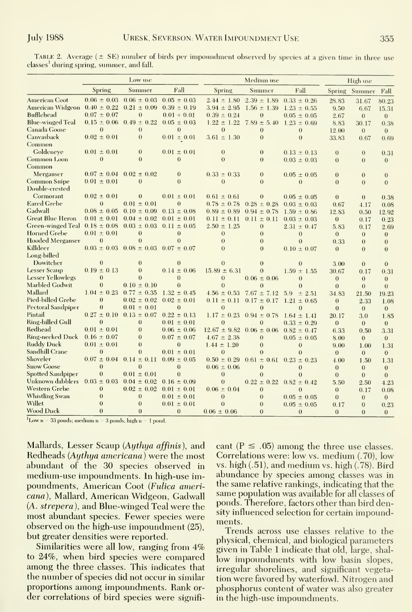Table 2. Average (± SE) number of birds per impoundment observed by species at <sup>a</sup> given time in three use classes<sup>1</sup> during spring, summer, and fall.

|                                   | Low use         |                                                 |                 | Medium use       |                 |                 | High use       |                |              |
|-----------------------------------|-----------------|-------------------------------------------------|-----------------|------------------|-----------------|-----------------|----------------|----------------|--------------|
|                                   | Spring          | Summer                                          | Fall            | Spring           | Summer          | Fall            |                | Spring Summer  | Fall         |
| <b>American Coot</b>              |                 | $0.06 \pm 0.03$ $0.06 \pm 0.03$                 | $0.05 \pm 0.03$ | $2.44 \pm 1.80$  | $2.39 \pm 1.89$ | $0.33 \pm 0.26$ | 28.83          | 31.67          | 80.23        |
| <b>American Widgeon</b>           | $0.40 \pm 0.22$ | $0.21 \pm 0.09$                                 | $0.39 \pm 0.19$ | $3.94 \pm 2.95$  | $1.56 \pm 1.39$ | $1.23 \pm 0.55$ | 9.50           | 6.67           | 15.31        |
| Bufflehead                        | $0.07 \pm 0.07$ | $\theta$                                        | $0.01 + 0.01$   | $0.39 \pm 0.24$  | $\overline{0}$  | $0.05 \pm 0.05$ | 2.67           | $\mathbf{0}$   | $\theta$     |
| <b>Blue-winged Teal</b>           |                 | $0.15 \pm 0.06$ $0.49 \pm 0.22$                 | $0.05 \pm 0.03$ | $1.22 \pm 1.22$  | $7.89 \pm 5.40$ | $1.23 \pm 0.69$ | 8.83           | 30.17          | 0.38         |
| Canada Goose                      | $\mathbf{0}$    | $\bf{0}$                                        | $\overline{0}$  | $\theta$         | $\theta$        | $\theta$        | 12.00          | $\theta$       | $\theta$     |
| Canvasback                        | $0.02 \pm 0.01$ | $\theta$                                        | $0.01 \pm 0.01$ | $3.61 \pm 1.30$  | $\overline{0}$  | $\overline{0}$  | 33.83          | 0.67           | 0.69         |
| Common                            |                 |                                                 |                 |                  |                 |                 |                |                |              |
| Goldeneye                         | $0.01 \pm 0.01$ | $\theta$                                        | $0.01 \pm 0.01$ | $\bf{0}$         | $\theta$        | $0.13 \pm 0.13$ | $\theta$       | $\theta$       | 0.31         |
| Common Loon                       | $\theta$        | $\theta$                                        | $\Omega$        | $\theta$         | $\theta$        | $0.03 \pm 0.03$ | $\theta$       | $\theta$       | $\theta$     |
| Common                            |                 |                                                 |                 |                  |                 |                 |                |                |              |
| Merganser                         | $0.07 \pm 0.04$ | $0.02 \pm 0.02$                                 | $\theta$        | $0.33 \pm 0.33$  | $\theta$        | $0.05 \pm 0.05$ | $\mathbf{0}$   | $\theta$       | $\mathbf{0}$ |
| Common Snipe                      | $0.01 \pm 0.01$ | $\Omega$                                        | $\Omega$        | $\Omega$         | $\Omega$        | $\theta$        | $\Omega$       | $\theta$       | $\Omega$     |
| Double-crested                    |                 |                                                 |                 |                  |                 |                 |                |                |              |
| Cormorant                         | $0.02 \pm 0.01$ | $\theta$                                        | $0.01 \pm 0.01$ | $0.61 \pm 0.61$  | $\theta$        | $0.05 \pm 0.05$ | $\theta$       | $\theta$       | 0.38         |
| <b>Eared Grebe</b>                | $\theta$        | $0.01 \pm 0.01$                                 | $\overline{0}$  | $0.78 \pm 0.78$  | $0.28 \pm 0.28$ | $0.03 \pm 0.03$ | 0.67           | 4.17           | 0.08         |
| Gadwall                           | $0.08 \pm 0.05$ | $0.10 \pm 0.09$                                 | $0.13 \pm 0.08$ | $0.89 \pm 0.89$  | $0.94 \pm 0.78$ | $1.59 \pm 0.86$ | 12.83          | 0.50           | 12.92        |
| <b>Great Blue Heron</b>           | $0.01 \pm 0.01$ | $0.04 \pm 0.02$                                 | $0.01 \pm 0.01$ | $0.11 \pm 0.11$  | $0.11 \pm 0.11$ | $0.03 \pm 0.03$ | $\mathbf{0}$   | 0.17           | 0.23         |
| Green-winged Teal $0.18 \pm 0.08$ |                 | $0.03 \pm 0.03$ $0.11 \pm 0.05$                 |                 | $2.50 \pm 1.25$  | $\theta$        | $2.31 \pm 0.47$ | 5.83           | 0.17           | 2.69         |
| <b>Horned Grebe</b>               | $0.01 \pm 0.01$ | $\theta$                                        | $\theta$        | $\theta$         | $\theta$        | $\overline{0}$  | $\theta$       | $\theta$       | $\theta$     |
| Hooded Merganser                  | $\overline{0}$  | $\Omega$                                        | $\Omega$        | $\theta$         | $\theta$        | $\theta$        | 0.33           | $\theta$       | $\theta$     |
| Killdeer                          |                 | $0.03 \pm 0.03$ $0.08 \pm 0.03$ $0.07 \pm 0.07$ |                 | $\Omega$         | $\theta$        | $0.10 \pm 0.07$ | $\theta$       | $\overline{0}$ | $\theta$     |
| Long-billed                       |                 |                                                 |                 |                  |                 |                 |                |                |              |
| Dowitcher                         | $\Omega$        | $\overline{0}$                                  | $\theta$        | $\Omega$         | $\Omega$        | $\Omega$        | 3.00           | $\theta$       | $\theta$     |
| <b>Lesser Scaup</b>               | $0.19 \pm 0.13$ | $\Omega$                                        | $0.14 \pm 0.06$ | $15.89 \pm 6.31$ | $\theta$        | $1.59 \pm 1.55$ | 30.67          | 0.17           | 0.31         |
| Lesser Yellowlegs                 | $\theta$        | $\Omega$                                        | $\Omega$        | $\overline{0}$   | $0.06 \pm 0.06$ | $\overline{0}$  | $\theta$       | $\theta$       | $\theta$     |
| Marbled Godwit                    | $\overline{0}$  | $0.10 \pm 0.10$                                 | $\overline{0}$  | $\Omega$         | $\theta$        | $\theta$        | $\theta$       | $\theta$       | $\Omega$     |
| Mallard                           | $1.04 \pm 0.23$ | $0.77 \pm 0.35$                                 | $1.32 \pm 0.45$ | $4.56 \pm 0.53$  | $7.67 \pm 7.12$ | 5.9<br>± 2.51   | 34.83          | 21.50          | 19.23        |
| Pied-billed Grebe                 | $\theta$        | $0.02 \pm 0.02$                                 | $0.02 \pm 0.01$ | $0.11 \pm 0.11$  | $0.17 \pm 0.17$ | $1.21 \pm 0.65$ | $\overline{0}$ | 2.33           | 1.08         |
| <b>Pectoral Sandpiper</b>         | $\theta$        | $0.01 \pm 0.01$                                 | $\theta$        | $\theta$         | $\Omega$        | $\theta$        | $\theta$       | $\overline{0}$ | $\theta$     |
| Pintail                           | $0.27 \pm 0.10$ | $0.13 \pm 0.07$                                 | $0.22 \pm 0.13$ | $1.17 \pm 0.23$  | $0.94 \pm 0.78$ | $1.64 \pm 1.41$ | 20.17          | 3.0            | 1.85         |
| <b>Ring-billed Gull</b>           | $\theta$        | $\boldsymbol{0}$                                | $0.01 \pm 0.01$ | $\theta$         | $\theta$        | $0.33 \pm 0.29$ | $\theta$       | $\theta$       | $\theta$     |
| Redhead                           | $0.01 \pm 0.01$ | $\theta$                                        | $0.06 \pm 0.06$ | $12.67 \pm 9.82$ | $0.06 \pm 0.06$ | $0.82 \pm 0.47$ | 6.33           | 0.50           | 3.31         |
| <b>Ring-necked Duck</b>           | $0.16 \pm 0.07$ | $\Omega$                                        | $0.07 \pm 0.07$ | $4.67 \pm 2.38$  | $\theta$        | $0.05 \pm 0.05$ | 8.00           | $\mathbf{0}$   | $\theta$     |
| <b>Ruddy Duck</b>                 | $0.01 \pm 0.01$ | $\theta$                                        | $\overline{0}$  | $1.44 \pm 1.20$  | $\theta$        | $\mathbf{0}$    | 9.00           | 1.00           | 1.31         |
| Sandhill Crane                    | $\overline{0}$  | $\Omega$                                        | $0.01 \pm 0.01$ | $\overline{0}$   | $\Omega$        | $\theta$        | $\theta$       | $\theta$       | $\Omega$     |
| Shoveler                          | $0.07 \pm 0.04$ | $0.14 \pm 0.11$                                 | $0.09 \pm 0.05$ | $0.50 \pm 0.29$  | $0.61 \pm 0.61$ | $0.23 \pm 0.23$ | 4.00           | 1.50           | 1.31         |
| <b>Snow Goose</b>                 | $\Omega$        | $\Omega$                                        | $\theta$        | $0.06 \pm 0.06$  | $\Omega$        | $\theta$        | $\theta$       | $\theta$       | $\theta$     |
| <b>Spotted Sandpiper</b>          | $\overline{0}$  | $0.01 \pm 0.01$                                 | $\theta$        | $\overline{0}$   | $\theta$        | $\overline{0}$  | $\theta$       | $\theta$       | $\theta$     |
| Unknown dabblers                  | $0.03 \pm 0.03$ | $0.04 \pm 0.02$                                 | $0.16 \pm 0.09$ | $\Omega$         | $0.22 \pm 0.22$ | $0.82 \pm 0.42$ | 5.50           | 2.50           | 4.23         |
| Western Grebe                     | $\overline{0}$  | $0.02 \pm 0.02$                                 | $0.01 \pm 0.01$ | $0.06 \pm 0.04$  | $\theta$        | $\theta$        | $\mathbf{0}$   | 0.17           | 0.08         |
| Whistling Swan                    | $\overline{0}$  | $\overline{0}$                                  | $0.01 \pm 0.01$ | $\mathbf{0}$     | $\overline{0}$  | $0.05 \pm 0.05$ | $\theta$       | $\overline{0}$ | $\theta$     |
| Willet                            | $\mathbf{0}$    | $\theta$                                        | $0.01 \pm 0.01$ | $\Omega$         | $\Omega$        | $0.05 \pm 0.05$ | 0.17           | $\theta$       | 0.23         |
| <b>Wood Duck</b>                  | $\theta$        | $\Omega$                                        | $\theta$        | $0.06 \pm 0.06$  | $\Omega$        | $\theta$        | $\theta$       | $\theta$       | $\theta$     |

<sup>1</sup>Low n = 33 ponds; medium n = 3 ponds; high n = 1 pond.

Mallards, Lesser Scaup (Aythya affinis), and Redheads (Aythya americana) were the most abundant of the 30 species observed in medium-use impoundments. In high-use impoundments, American Coot (Fulica americana), Mallard, American Widgeon, Gadwall (A. strepera), and Blue-winged Teal were the most abundant species. Fewer species were observed on the high-use impoundment (25). but greater densities were reported.

Similarities were all low, ranging from 4% to 24%, when bird species were compared among the three classes. This indicates that the number of species did not occur in similar proportions among impoundments. Rank order correlations of bird species were significant ( $P \leq .05$ ) among the three use classes. Correlations were: low vs. medium (.70), low vs. high  $(.51)$ , and medium vs. high  $(.78)$ . Bird abundance by species among classes was in the same relative rankings, indicating that the same population was available for all classes of ponds. Therefore, factors other than bird density influenced selection for certain impoundments.

Trends across use classes relative to the physical, chemical, and biological parameters given in Table 1 indicate that old, large, shallow impoundments with low basin slopes, irregular shorelines, and significant vegetation were favored by waterfowl. Nitrogen and phosphorus content of water was also greater in the high-use impoundments.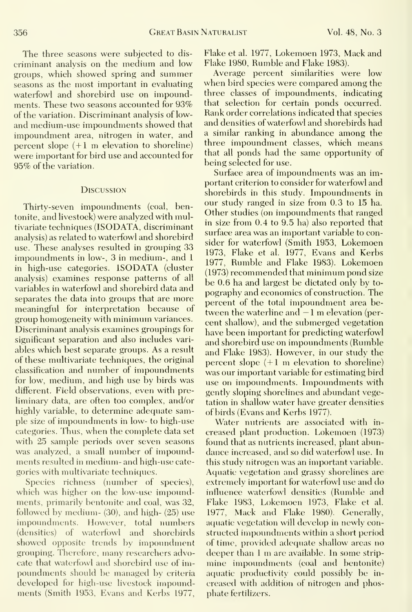The three seasons were subjected to dis criminant analysis on the medium and low groups, which showed spring and summer seasons as the most important in evaluating waterfowl and shorebird use on impoundments. These two seasons accounted for 93% of the variation. Discriminant analysis of lowand medium-use impoundments showed that impoundment area, nitrogen in water, and percent slope (+1 m elevation to shoreline) were important for bird use and accounted for 95% of the variation.

#### **DISCUSSION**

Thirty-seven impoundments (coal, bentonite, and livestock) were analyzed with multivariate techniques (ISODATA, discriminant analysis) as related to waterfowl and shorebird use. These analyses resulted in grouping 33 impoundments in low-, 3 in medium-, and <sup>1</sup> in high-use categories. ISODATA (cluster analysis) examines response patterns of all variables in waterfowl and shorebird data and separates the data into groups that are more meaningful for interpretation because of group homogeneity with minimum variances. Discriminant analysis examines groupings for significant separation and also includes vari ables which best separate groups. As a result of these multivariate techniques, the original classification and number of impoundments for low, medium, and high use by birds was different. Field observations, even with pre liminary data, are often too complex, and/or highly variable, to determine adequate sample size of impoundments in low- to high-use categories. Thus, when the complete data set with 25 sample periods over seven seasons was analyzed, a small number of impoundments resulted in medium- and high-use cate gories with multivariate techniques.

Species richness (number of species), which was higher on the low-use impoundments, primarily bentonite and coal, was 32, followed by medium- (30), and high- (25) use impoundments. However, total numbers (densities) of waterfowl and shorebirds showed opposite trends by impoundment grouping. Therefore, many researchers advocate that waterfowl and shorebird use of impoundments should be managed by criteria developed for high-use livestock impoundments (Smith 1953, Evans and Kerbs 1977, Flake et al. 1977, Lokemoen 1973, Mack and Flake 1980, Rumble and Flake 1983).

Average percent similarities were low when bird species were compared among the three classes of impoundments, indicating that selection for certain ponds occurred. Rank order correlations indicated that species and densities of waterfowl and shorebirds had a similar ranking in abundance among the three impoundment classes, which means that all ponds had the same opportunity of being selected for use.

Surface area of impoundments was an important criterion to consider for waterfowl and shorebirds in this study. Impoundments in our study ranged in size from 0.3 to 15 ha. Other studies (on impoundments that ranged in size from 0.4 to 9.5 ha) also reported that surface area was an important variable to consider for waterfowl (Smith 1953, Lokemoen 1973, Flake et al. 1977, Evans and Kerbs 1977, Rumble and Flake 1983). Lokemoen (1973) recommended that minimum pond size be 0.6 ha and largest be dictated only by to pography and economics of construction. The percent of the total impoundment area between the waterline and  $-1$  m elevation (percent shallow), and the submerged vegetation have been important for predicting waterfowl and shorebird use on impoundments (Rumble and Flake 1983). However, in our study the percent slope  $(+1 \text{ m}$  elevation to shoreline) was our important variable for estimating bird use on impoundments. Impoimdments with gently sloping shorelines and abundant vegetation in shallow water have greater densities of birds (Evans and Kerbs 1977).

Water nutrients are associated with in creased plant production. Lokemoen (1973) found that as nutrients increased, plant abundance increased, and so did waterfowl use. In this study nitrogen was an important variable. Aquatic vegetation and grassy shorelines are extremely important for waterfowl use and do influence waterfowl densities (Rumble and Flake 1983, Lokemoen 1973, Flake et al. 1977, Mack and Flake 1980). Generally, aquatic vegetation will develop in newly constructed impoundments within a short period of time, provided adequate shallow areas no deeper than <sup>1</sup> m are available. In some stripmine impoundments (coal and bentonite) aquatic productivity could possibly be increased with addition of nitrogen and phosphate fertilizers.